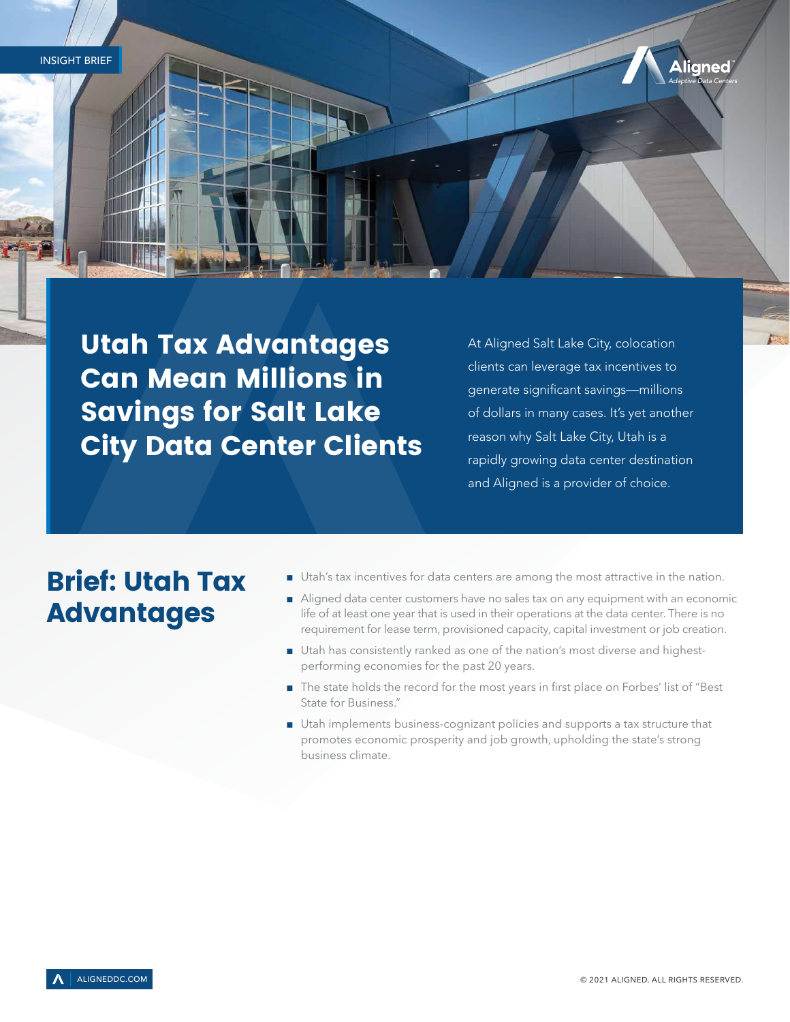Utah Tax Advantages Can Mean Millions in Savings for Salt Lake City Data Center Clients

At Aligned Salt Lake City, colocation clients can leverage tax incentives to generate significant savings—millions of dollars in many cases. It's yet another reason why Salt Lake City, Utah is a rapidly growing data center destination and Aligned is a provider of choice.

*Adaptive Data Centers*

**Aligned** 

# Brief: Utah Tax Advantages

- Utah's tax incentives for data centers are among the most attractive in the nation.
- Aligned data center customers have no sales tax on any equipment with an economic life of at least one year that is used in their operations at the data center. There is no requirement for lease term, provisioned capacity, capital investment or job creation.
- Utah has consistently ranked as one of the nation's most diverse and highestperforming economies for the past 20 years.
- The state holds the record for the most years in first place on Forbes' list of "Best State for Business."
- Utah implements business-cognizant policies and supports a tax structure that promotes economic prosperity and job growth, upholding the state's strong business climate.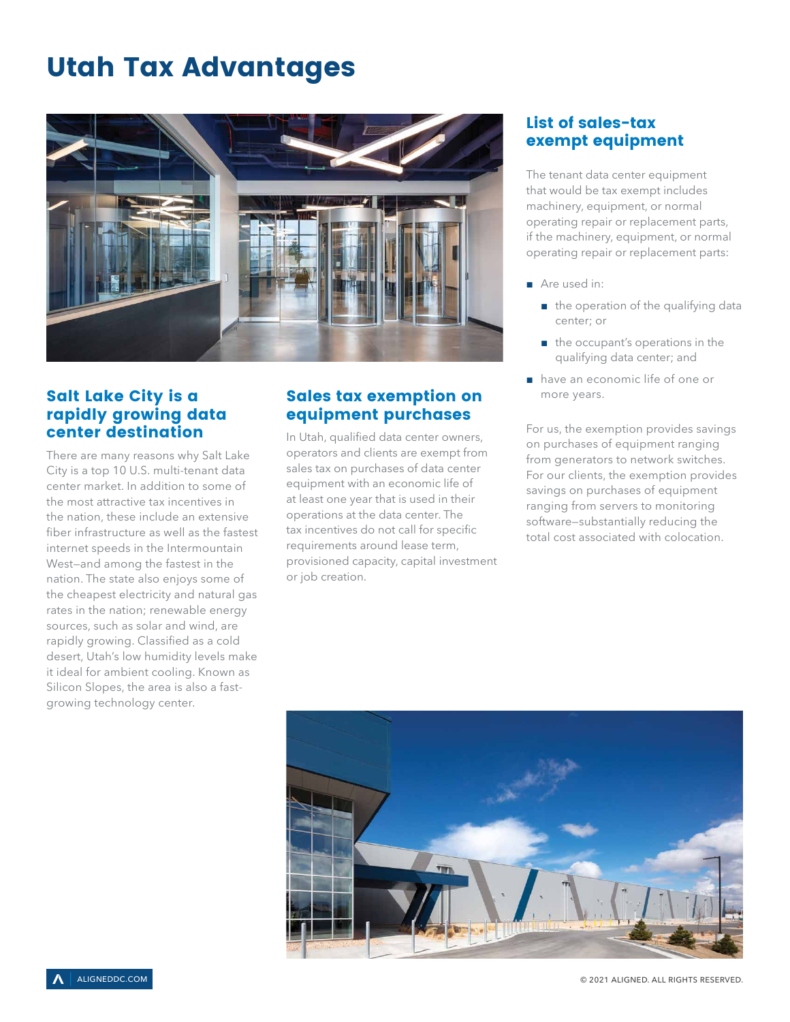# Utah Tax Advantages



## Salt Lake City is a rapidly growing data center destination

There are many reasons why Salt Lake City is a top 10 U.S. multi-tenant data center market. In addition to some of the most attractive tax incentives in the nation, these include an extensive fiber infrastructure as well as the fastest internet speeds in the Intermountain West—and among the fastest in the nation. The state also enjoys some of the cheapest electricity and natural gas rates in the nation; renewable energy sources, such as solar and wind, are rapidly growing. Classified as a cold desert, Utah's low humidity levels make it ideal for ambient cooling. Known as Silicon Slopes, the area is also a fastgrowing technology center.

## Sales tax exemption on equipment purchases

In Utah, qualified data center owners, operators and clients are exempt from sales tax on purchases of data center equipment with an economic life of at least one year that is used in their operations at the data center. The tax incentives do not call for specific requirements around lease term, provisioned capacity, capital investment or job creation.

# List of sales-tax exempt equipment

The tenant data center equipment that would be tax exempt includes machinery, equipment, or normal operating repair or replacement parts, if the machinery, equipment, or normal operating repair or replacement parts:

- Are used in:
	- the operation of the qualifying data center; or
	- the occupant's operations in the qualifying data center; and
- have an economic life of one or more years.

For us, the exemption provides savings on purchases of equipment ranging from generators to network switches. For our clients, the exemption provides savings on purchases of equipment ranging from servers to monitoring software—substantially reducing the total cost associated with colocation.